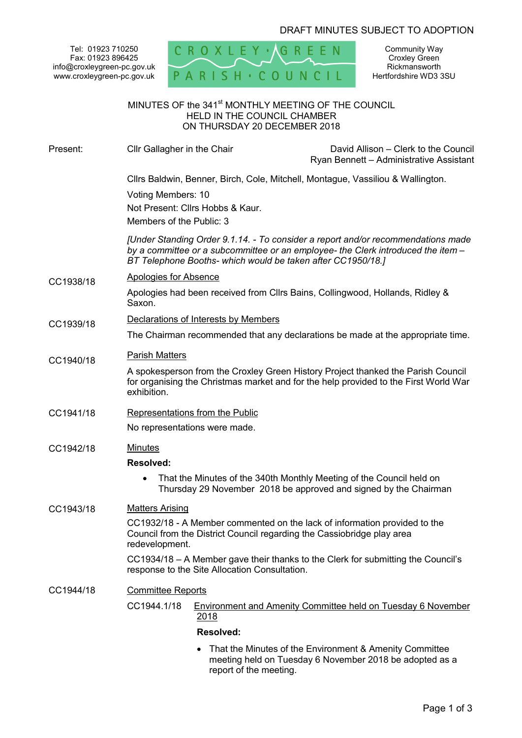# DRAFT MINUTES SUBJECT TO ADOPTION

Tel: 01923 710250 Fax: 01923 896425 info@croxleygreen-pc.gov.uk www.croxleygreen-pc.gov.uk



Community Way Croxley Green Rickmansworth Hertfordshire WD3 3SU

# MINUTES OF the 341<sup>st</sup> MONTHLY MEETING OF THE COUNCIL HELD IN THE COUNCIL CHAMBER ON THURSDAY 20 DECEMBER 2018

| Present:  | Cllr Gallagher in the Chair                                                                                                                                                                                                         |                        | David Allison - Clerk to the Council<br>Ryan Bennett - Administrative Assistant                                                          |
|-----------|-------------------------------------------------------------------------------------------------------------------------------------------------------------------------------------------------------------------------------------|------------------------|------------------------------------------------------------------------------------------------------------------------------------------|
|           | Cllrs Baldwin, Benner, Birch, Cole, Mitchell, Montague, Vassiliou & Wallington.                                                                                                                                                     |                        |                                                                                                                                          |
|           | Voting Members: 10<br>Not Present: Cllrs Hobbs & Kaur.<br>Members of the Public: 3                                                                                                                                                  |                        |                                                                                                                                          |
|           | [Under Standing Order 9.1.14. - To consider a report and/or recommendations made<br>by a committee or a subcommittee or an employee- the Clerk introduced the item -<br>BT Telephone Booths- which would be taken after CC1950/18.] |                        |                                                                                                                                          |
| CC1938/18 | <b>Apologies for Absence</b>                                                                                                                                                                                                        |                        |                                                                                                                                          |
|           | Apologies had been received from Cllrs Bains, Collingwood, Hollands, Ridley &<br>Saxon.                                                                                                                                             |                        |                                                                                                                                          |
| CC1939/18 | Declarations of Interests by Members                                                                                                                                                                                                |                        |                                                                                                                                          |
|           | The Chairman recommended that any declarations be made at the appropriate time.                                                                                                                                                     |                        |                                                                                                                                          |
| CC1940/18 | <b>Parish Matters</b>                                                                                                                                                                                                               |                        |                                                                                                                                          |
|           | A spokesperson from the Croxley Green History Project thanked the Parish Council<br>for organising the Christmas market and for the help provided to the First World War<br>exhibition.                                             |                        |                                                                                                                                          |
| CC1941/18 | <b>Representations from the Public</b>                                                                                                                                                                                              |                        |                                                                                                                                          |
|           | No representations were made.                                                                                                                                                                                                       |                        |                                                                                                                                          |
| CC1942/18 | <b>Minutes</b>                                                                                                                                                                                                                      |                        |                                                                                                                                          |
|           | <b>Resolved:</b>                                                                                                                                                                                                                    |                        |                                                                                                                                          |
|           |                                                                                                                                                                                                                                     |                        | That the Minutes of the 340th Monthly Meeting of the Council held on<br>Thursday 29 November 2018 be approved and signed by the Chairman |
| CC1943/18 | <b>Matters Arising</b>                                                                                                                                                                                                              |                        |                                                                                                                                          |
|           | CC1932/18 - A Member commented on the lack of information provided to the<br>Council from the District Council regarding the Cassiobridge play area<br>redevelopment.                                                               |                        |                                                                                                                                          |
|           | CC1934/18 – A Member gave their thanks to the Clerk for submitting the Council's<br>response to the Site Allocation Consultation.                                                                                                   |                        |                                                                                                                                          |
| CC1944/18 | <b>Committee Reports</b>                                                                                                                                                                                                            |                        |                                                                                                                                          |
|           | CC1944.1/18                                                                                                                                                                                                                         | <u>2018</u>            | <b>Environment and Amenity Committee held on Tuesday 6 November</b>                                                                      |
|           | <b>Resolved:</b>                                                                                                                                                                                                                    |                        |                                                                                                                                          |
|           |                                                                                                                                                                                                                                     | report of the meeting. | That the Minutes of the Environment & Amenity Committee<br>meeting held on Tuesday 6 November 2018 be adopted as a                       |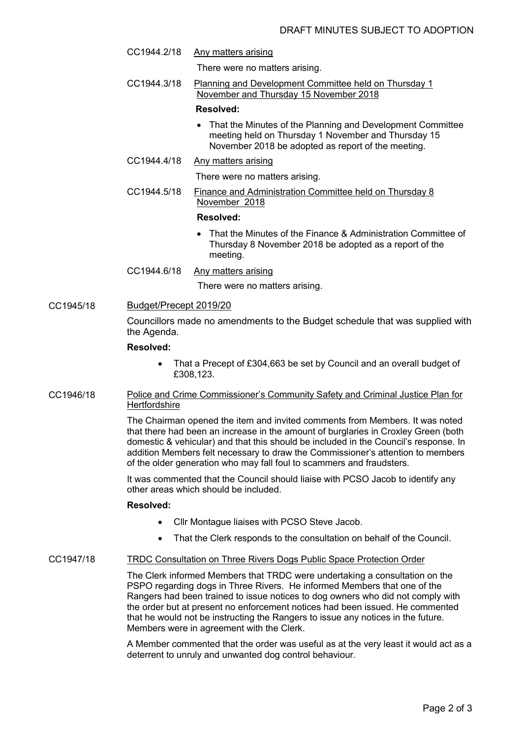- There were no matters arising.
- CC1944.3/18 Planning and Development Committee held on Thursday 1 November and Thursday 15 November 2018

## **Resolved:**

 That the Minutes of the Planning and Development Committee meeting held on Thursday 1 November and Thursday 15 November 2018 be adopted as report of the meeting.

## CC1944.4/18 Any matters arising

CC1944.2/18 Any matters arising

There were no matters arising.

CC1944.5/18 Finance and Administration Committee held on Thursday 8 November 2018

## **Resolved:**

- That the Minutes of the Finance & Administration Committee of Thursday 8 November 2018 be adopted as a report of the meeting.
- CC1944.6/18 Any matters arising

There were no matters arising.

## CC1945/18 Budget/Precept 2019/20

Councillors made no amendments to the Budget schedule that was supplied with the Agenda.

#### **Resolved:**

- That a Precept of £304,663 be set by Council and an overall budget of £308,123.
- CC1946/18 Police and Crime Commissioner's Community Safety and Criminal Justice Plan for **Hertfordshire**

The Chairman opened the item and invited comments from Members. It was noted that there had been an increase in the amount of burglaries in Croxley Green (both domestic & vehicular) and that this should be included in the Council's response. In addition Members felt necessary to draw the Commissioner's attention to members of the older generation who may fall foul to scammers and fraudsters.

It was commented that the Council should liaise with PCSO Jacob to identify any other areas which should be included.

#### **Resolved:**

- Cllr Montague liaises with PCSO Steve Jacob.
- That the Clerk responds to the consultation on behalf of the Council.

#### CC1947/18 TRDC Consultation on Three Rivers Dogs Public Space Protection Order

The Clerk informed Members that TRDC were undertaking a consultation on the PSPO regarding dogs in Three Rivers. He informed Members that one of the Rangers had been trained to issue notices to dog owners who did not comply with the order but at present no enforcement notices had been issued. He commented that he would not be instructing the Rangers to issue any notices in the future. Members were in agreement with the Clerk.

A Member commented that the order was useful as at the very least it would act as a deterrent to unruly and unwanted dog control behaviour.